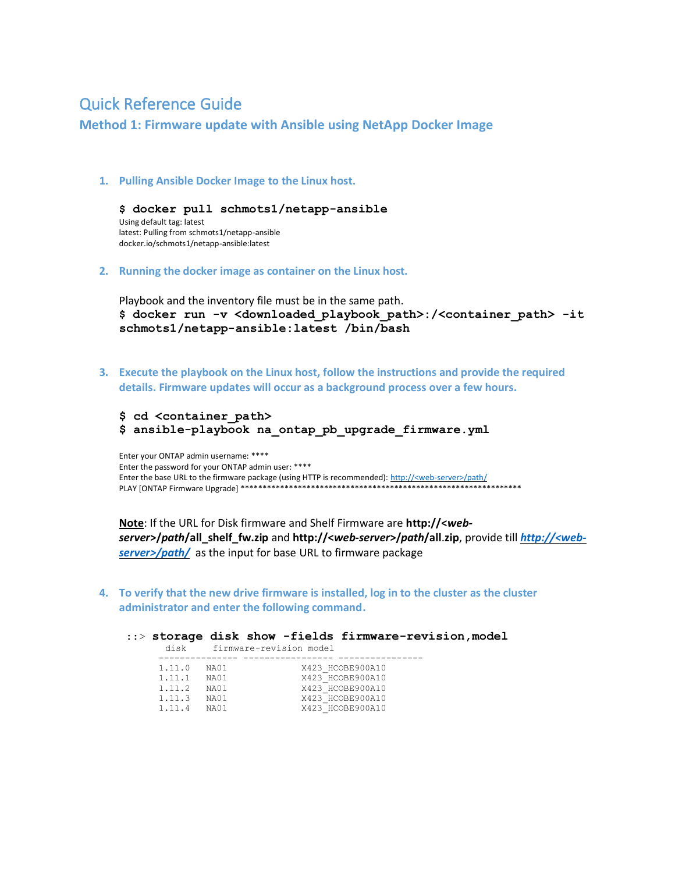## **Quick Reference Guide**

**Method 1: Firmware update with Ansible using NetApp Docker Image** 

1. Pulling Ansible Docker Image to the Linux host.

\$ docker pull schmots1/netapp-ansible Using default tag: latest latest: Pulling from schmots1/netapp-ansible docker.io/schmots1/netapp-ansible:latest

2. Running the docker image as container on the Linux host.

Playbook and the inventory file must be in the same path. \$ docker run -v <downloaded playbook path>:/<container path> -it schmots1/netapp-ansible:latest /bin/bash

3. Execute the playbook on the Linux host, follow the instructions and provide the required details. Firmware updates will occur as a background process over a few hours.

\$ cd <container path> \$ ansible-playbook na ontap pb upgrade firmware.yml

Enter your ONTAP admin username: \*\*\*\* Enter the password for your ONTAP admin user: \*\*\*\* Enter the base URL to the firmware package (using HTTP is recommended): http://<web-server>/path/ 

Note: If the URL for Disk firmware and Shelf Firmware are http://<webserver>/path/all\_shelf\_fw.zip and http://<web-server>/path/all.zip, provide till http://<webserver>/path/ as the input for base URL to firmware package

4. To verify that the new drive firmware is installed, log in to the cluster as the cluster administrator and enter the following command.

:: > storage disk show -fields firmware-revision, model disk firmware-revision model 1.11.0 NA01 X423\_HCOBE900A10 X423 HCOBE900A10<br>X423 HCOBE900A10<br>X423 HCOBE900A10<br>X423 HCOBE900A10  $1.11.1$  NA01 1.11.2 NA01<br>1.11.3 NA01<br>1.11.4 NA01